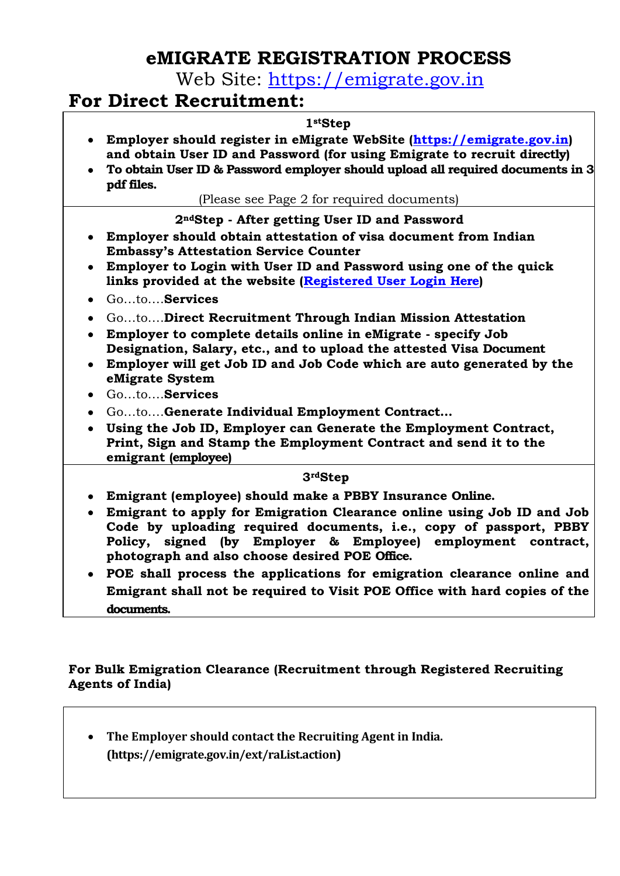# **eMIGRATE REGISTRATION PROCESS**

Web Site: [https://emigrate.gov.in](https://emigrate.gov.in/)

## **For Direct Recruitment:**

#### **1stStep**

- **Employer should register in eMigrate WebSite [\(https://emigrate.gov.in\)](https://emigrate.gov.in/) and obtain User ID and Password (for using Emigrate to recruit directly)**
- **To obtain User ID & Password employer should upload all required documents in 3 pdf files.**

(Please see Page 2 for required documents)

### **2ndStep - After getting User ID and Password**

- **Employer should obtain attestation of visa document from Indian Embassy's Attestation Service Counter**
- **Employer to Login with User ID and Password using one of the quick links provided at the website [\(Registered User Login Here\)](http://emigrate.gov.in/restricted/)**
- Go…to….**Services**
- Go…to….**Direct Recruitment Through Indian Mission Attestation**
- **Employer to complete details online in eMigrate - specify Job Designation, Salary, etc., and to upload the attested Visa Document**
- **Employer will get Job ID and Job Code which are auto generated by the eMigrate System**
- Go…to….**Services**
- Go…to….**Generate Individual Employment Contract…**
- **Using the Job ID, Employer can Generate the Employment Contract, Print, Sign and Stamp the Employment Contract and send it to the emigrant (employee)**

### **3rdStep**

- **Emigrant (employee) should make a PBBY Insurance Online.**
- **Emigrant to apply for Emigration Clearance online using Job ID and Job Code by uploading required documents, i.e., copy of passport, PBBY Policy, signed (by Employer & Employee) employment contract, photograph and also choose desired POE Office.**
- **POE shall process the applications for emigration clearance online and Emigrant shall not be required to Visit POE Office with hard copies of the documents.**

## **For Bulk Emigration Clearance (Recruitment through Registered Recruiting Agents of India)**

 **The Employer should contact the Recruiting Agent in India. (https://emigrate.gov.in/ext/raList.action)**